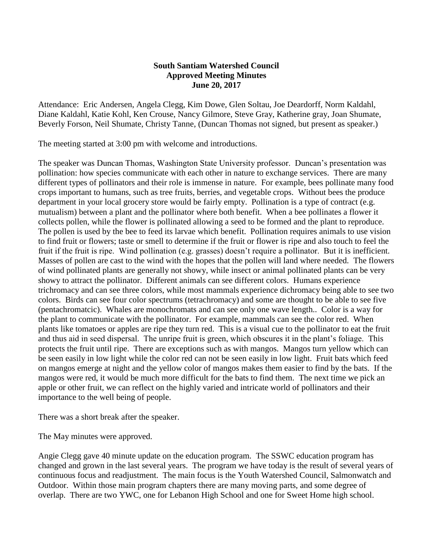## **South Santiam Watershed Council Approved Meeting Minutes June 20, 2017**

Attendance: Eric Andersen, Angela Clegg, Kim Dowe, Glen Soltau, Joe Deardorff, Norm Kaldahl, Diane Kaldahl, Katie Kohl, Ken Crouse, Nancy Gilmore, Steve Gray, Katherine gray, Joan Shumate, Beverly Forson, Neil Shumate, Christy Tanne, (Duncan Thomas not signed, but present as speaker.)

The meeting started at 3:00 pm with welcome and introductions.

The speaker was Duncan Thomas, Washington State University professor. Duncan's presentation was pollination: how species communicate with each other in nature to exchange services. There are many different types of pollinators and their role is immense in nature. For example, bees pollinate many food crops important to humans, such as tree fruits, berries, and vegetable crops. Without bees the produce department in your local grocery store would be fairly empty. Pollination is a type of contract (e.g. mutualism) between a plant and the pollinator where both benefit. When a bee pollinates a flower it collects pollen, while the flower is pollinated allowing a seed to be formed and the plant to reproduce. The pollen is used by the bee to feed its larvae which benefit. Pollination requires animals to use vision to find fruit or flowers; taste or smell to determine if the fruit or flower is ripe and also touch to feel the fruit if the fruit is ripe. Wind pollination (e.g. grasses) doesn't require a pollinator. But it is inefficient. Masses of pollen are cast to the wind with the hopes that the pollen will land where needed. The flowers of wind pollinated plants are generally not showy, while insect or animal pollinated plants can be very showy to attract the pollinator. Different animals can see different colors. Humans experience trichromacy and can see three colors, while most mammals experience dichromacy being able to see two colors. Birds can see four color spectrums (tetrachromacy) and some are thought to be able to see five (pentachromatcic). Whales are monochromats and can see only one wave length.. Color is a way for the plant to communicate with the pollinator. For example, mammals can see the color red. When plants like tomatoes or apples are ripe they turn red. This is a visual cue to the pollinator to eat the fruit and thus aid in seed dispersal. The unripe fruit is green, which obscures it in the plant's foliage. This protects the fruit until ripe. There are exceptions such as with mangos. Mangos turn yellow which can be seen easily in low light while the color red can not be seen easily in low light. Fruit bats which feed on mangos emerge at night and the yellow color of mangos makes them easier to find by the bats. If the mangos were red, it would be much more difficult for the bats to find them. The next time we pick an apple or other fruit, we can reflect on the highly varied and intricate world of pollinators and their importance to the well being of people.

There was a short break after the speaker.

The May minutes were approved.

Angie Clegg gave 40 minute update on the education program. The SSWC education program has changed and grown in the last several years. The program we have today is the result of several years of continuous focus and readjustment. The main focus is the Youth Watershed Council, Salmonwatch and Outdoor. Within those main program chapters there are many moving parts, and some degree of overlap. There are two YWC, one for Lebanon High School and one for Sweet Home high school.